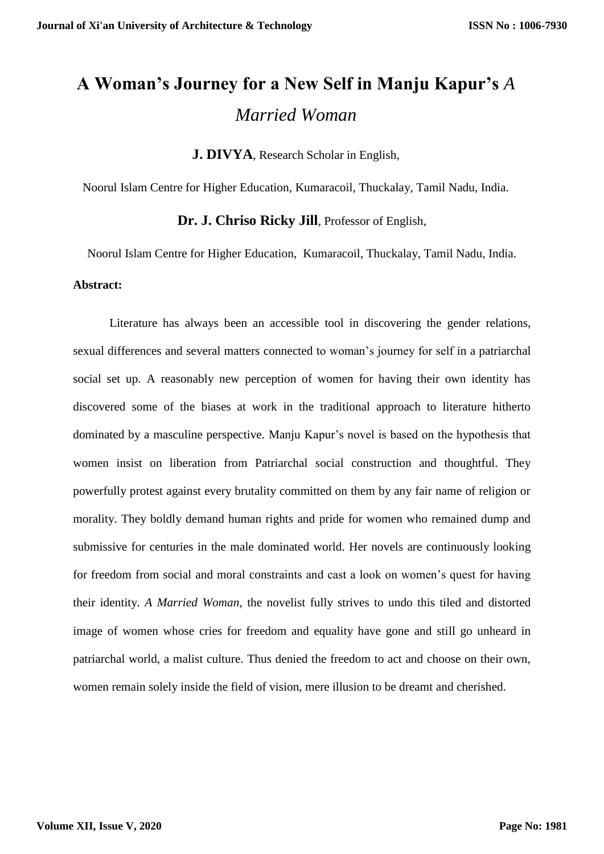## **A Woman's Journey for a New Self in Manju Kapur's** *A Married Woman*

**J. DIVYA**, Research Scholar in English,

Noorul Islam Centre for Higher Education, Kumaracoil, Thuckalay, Tamil Nadu, India.

**Dr. J. Chriso Ricky Jill**, Professor of English,

Noorul Islam Centre for Higher Education, Kumaracoil, Thuckalay, Tamil Nadu, India. **Abstract:**

Literature has always been an accessible tool in discovering the gender relations, sexual differences and several matters connected to woman's journey for self in a patriarchal social set up. A reasonably new perception of women for having their own identity has discovered some of the biases at work in the traditional approach to literature hitherto dominated by a masculine perspective. Manju Kapur's novel is based on the hypothesis that women insist on liberation from Patriarchal social construction and thoughtful. They powerfully protest against every brutality committed on them by any fair name of religion or morality. They boldly demand human rights and pride for women who remained dump and submissive for centuries in the male dominated world. Her novels are continuously looking for freedom from social and moral constraints and cast a look on women's quest for having their identity. *A Married Woman*, the novelist fully strives to undo this tiled and distorted image of women whose cries for freedom and equality have gone and still go unheard in patriarchal world, a malist culture. Thus denied the freedom to act and choose on their own, women remain solely inside the field of vision, mere illusion to be dreamt and cherished.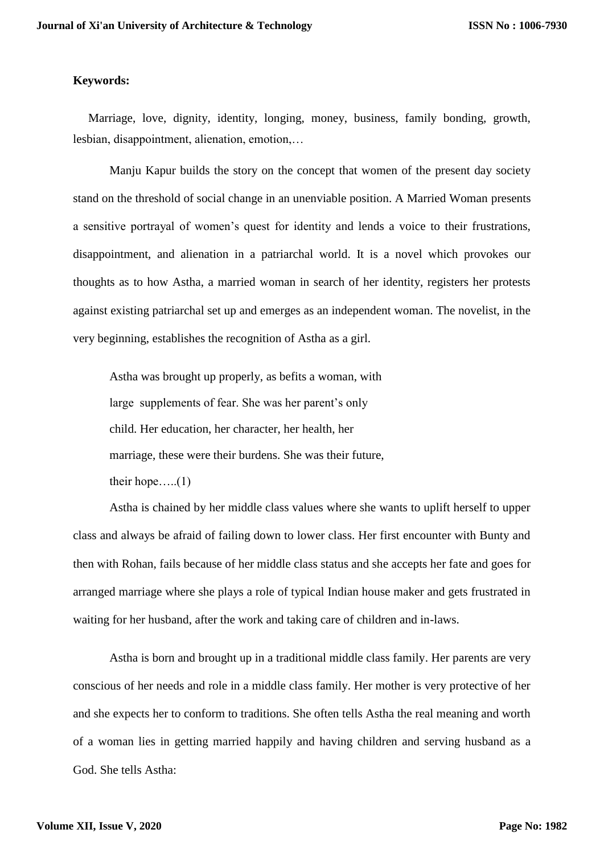## **Keywords:**

 Marriage, love, dignity, identity, longing, money, business, family bonding, growth, lesbian, disappointment, alienation, emotion,…

Manju Kapur builds the story on the concept that women of the present day society stand on the threshold of social change in an unenviable position. A Married Woman presents a sensitive portrayal of women's quest for identity and lends a voice to their frustrations, disappointment, and alienation in a patriarchal world. It is a novel which provokes our thoughts as to how Astha, a married woman in search of her identity, registers her protests against existing patriarchal set up and emerges as an independent woman. The novelist, in the very beginning, establishes the recognition of Astha as a girl.

Astha was brought up properly, as befits a woman, with large supplements of fear. She was her parent's only child. Her education, her character, her health, her marriage, these were their burdens. She was their future, their hope.... $(1)$ 

Astha is chained by her middle class values where she wants to uplift herself to upper class and always be afraid of failing down to lower class. Her first encounter with Bunty and then with Rohan, fails because of her middle class status and she accepts her fate and goes for arranged marriage where she plays a role of typical Indian house maker and gets frustrated in waiting for her husband, after the work and taking care of children and in-laws.

Astha is born and brought up in a traditional middle class family. Her parents are very conscious of her needs and role in a middle class family. Her mother is very protective of her and she expects her to conform to traditions. She often tells Astha the real meaning and worth of a woman lies in getting married happily and having children and serving husband as a God. She tells Astha: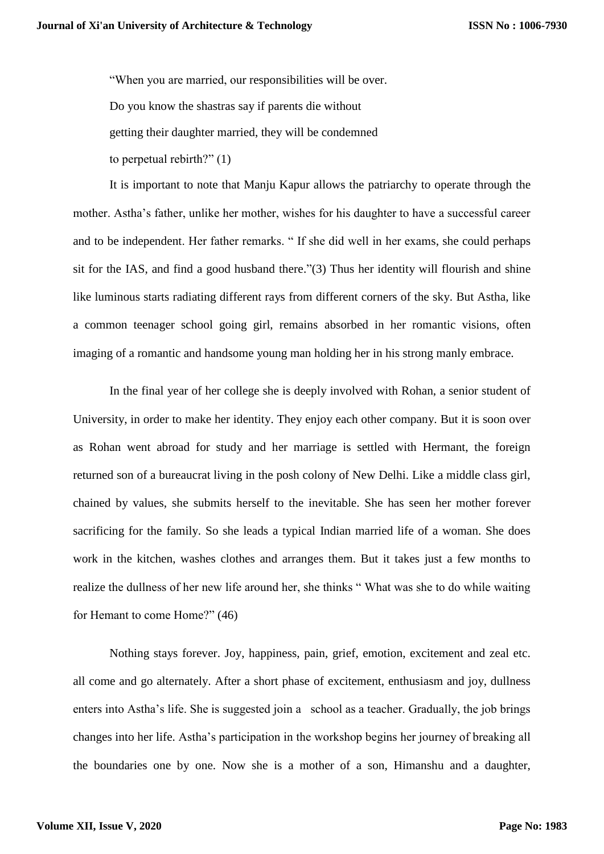"When you are married, our responsibilities will be over. Do you know the shastras say if parents die without getting their daughter married, they will be condemned to perpetual rebirth?" (1)

It is important to note that Manju Kapur allows the patriarchy to operate through the mother. Astha's father, unlike her mother, wishes for his daughter to have a successful career and to be independent. Her father remarks. " If she did well in her exams, she could perhaps sit for the IAS, and find a good husband there."(3) Thus her identity will flourish and shine like luminous starts radiating different rays from different corners of the sky. But Astha, like a common teenager school going girl, remains absorbed in her romantic visions, often imaging of a romantic and handsome young man holding her in his strong manly embrace.

In the final year of her college she is deeply involved with Rohan, a senior student of University, in order to make her identity. They enjoy each other company. But it is soon over as Rohan went abroad for study and her marriage is settled with Hermant, the foreign returned son of a bureaucrat living in the posh colony of New Delhi. Like a middle class girl, chained by values, she submits herself to the inevitable. She has seen her mother forever sacrificing for the family. So she leads a typical Indian married life of a woman. She does work in the kitchen, washes clothes and arranges them. But it takes just a few months to realize the dullness of her new life around her, she thinks " What was she to do while waiting for Hemant to come Home?" (46)

Nothing stays forever. Joy, happiness, pain, grief, emotion, excitement and zeal etc. all come and go alternately. After a short phase of excitement, enthusiasm and joy, dullness enters into Astha's life. She is suggested join a school as a teacher. Gradually, the job brings changes into her life. Astha's participation in the workshop begins her journey of breaking all the boundaries one by one. Now she is a mother of a son, Himanshu and a daughter,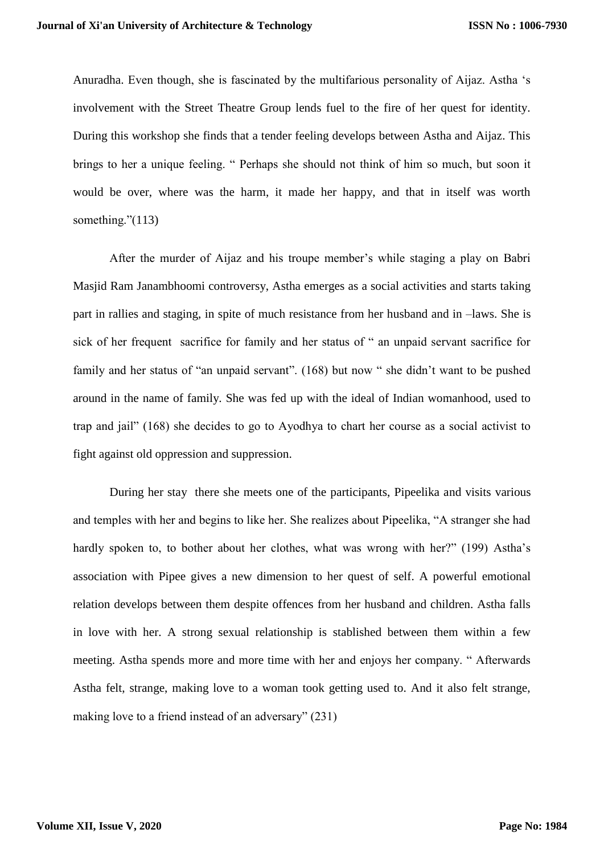Anuradha. Even though, she is fascinated by the multifarious personality of Aijaz. Astha 's involvement with the Street Theatre Group lends fuel to the fire of her quest for identity. During this workshop she finds that a tender feeling develops between Astha and Aijaz. This brings to her a unique feeling. " Perhaps she should not think of him so much, but soon it would be over, where was the harm, it made her happy, and that in itself was worth something."(113)

After the murder of Aijaz and his troupe member's while staging a play on Babri Masjid Ram Janambhoomi controversy, Astha emerges as a social activities and starts taking part in rallies and staging, in spite of much resistance from her husband and in –laws. She is sick of her frequent sacrifice for family and her status of " an unpaid servant sacrifice for family and her status of "an unpaid servant". (168) but now " she didn't want to be pushed around in the name of family. She was fed up with the ideal of Indian womanhood, used to trap and jail" (168) she decides to go to Ayodhya to chart her course as a social activist to fight against old oppression and suppression.

During her stay there she meets one of the participants, Pipeelika and visits various and temples with her and begins to like her. She realizes about Pipeelika, "A stranger she had hardly spoken to, to bother about her clothes, what was wrong with her?" (199) Astha's association with Pipee gives a new dimension to her quest of self. A powerful emotional relation develops between them despite offences from her husband and children. Astha falls in love with her. A strong sexual relationship is stablished between them within a few meeting. Astha spends more and more time with her and enjoys her company. " Afterwards Astha felt, strange, making love to a woman took getting used to. And it also felt strange, making love to a friend instead of an adversary" (231)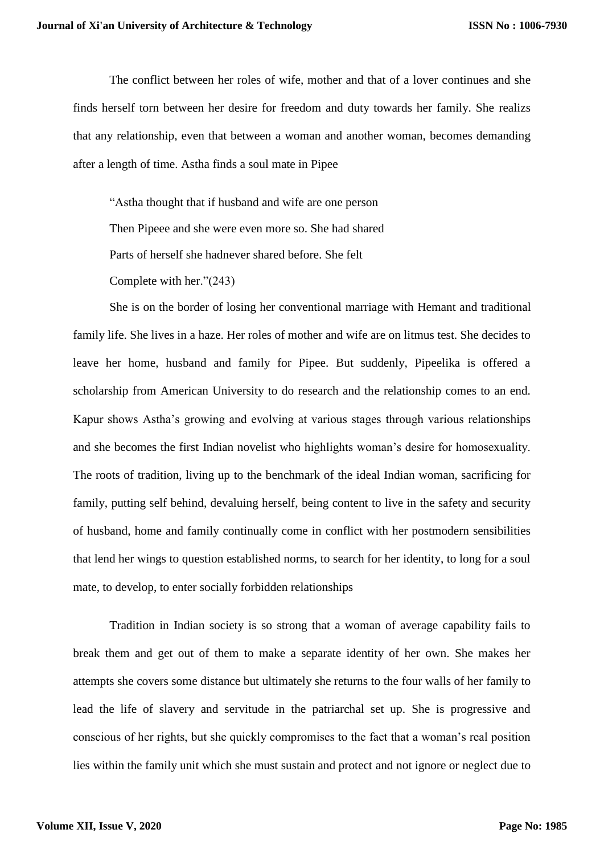The conflict between her roles of wife, mother and that of a lover continues and she finds herself torn between her desire for freedom and duty towards her family. She realizs that any relationship, even that between a woman and another woman, becomes demanding after a length of time. Astha finds a soul mate in Pipee

"Astha thought that if husband and wife are one person Then Pipeee and she were even more so. She had shared Parts of herself she hadnever shared before. She felt Complete with her."(243)

She is on the border of losing her conventional marriage with Hemant and traditional family life. She lives in a haze. Her roles of mother and wife are on litmus test. She decides to leave her home, husband and family for Pipee. But suddenly, Pipeelika is offered a scholarship from American University to do research and the relationship comes to an end. Kapur shows Astha's growing and evolving at various stages through various relationships and she becomes the first Indian novelist who highlights woman's desire for homosexuality. The roots of tradition, living up to the benchmark of the ideal Indian woman, sacrificing for family, putting self behind, devaluing herself, being content to live in the safety and security of husband, home and family continually come in conflict with her postmodern sensibilities that lend her wings to question established norms, to search for her identity, to long for a soul mate, to develop, to enter socially forbidden relationships

Tradition in Indian society is so strong that a woman of average capability fails to break them and get out of them to make a separate identity of her own. She makes her attempts she covers some distance but ultimately she returns to the four walls of her family to lead the life of slavery and servitude in the patriarchal set up. She is progressive and conscious of her rights, but she quickly compromises to the fact that a woman's real position lies within the family unit which she must sustain and protect and not ignore or neglect due to